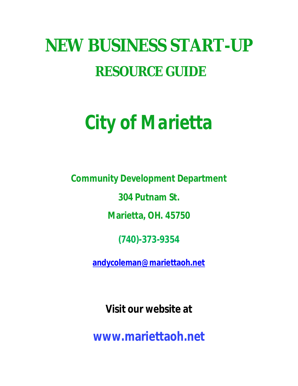# **NEW BUSINESS START-UP RESOURCE GUIDE**

# *City of Marietta*

**Community Development Department**

**304 Putnam St.**

**Marietta, OH. 45750**

**(740)-373-9354**

**andycoleman@mariettaoh.net**

**Visit our website at**

**www.mariettaoh.net**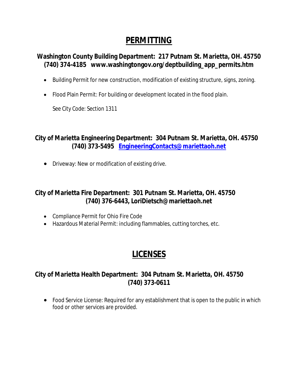## **PERMITTING**

### **Washington County Building Department: 217 Putnam St. Marietta, OH. 45750 (740) 374-4185 www.washingtongov.org/deptbuilding\_app\_permits.htm**

- Building Permit for new construction, modification of existing structure, signs, zoning.
- Flood Plain Permit: For building or development located in the flood plain.

*See City Code: Section 1311*

## **City of Marietta Engineering Department: 304 Putnam St. Marietta, OH. 45750 (740) 373-5495 EngineeringContacts@mariettaoh.net**

Driveway: New or modification of existing drive.

### **City of Marietta Fire Department: 301 Putnam St. Marietta, OH. 45750 (740) 376-6443, LoriDietsch@mariettaoh.net**

- Compliance Permit for Ohio Fire Code
- Hazardous Material Permit: including flammables, cutting torches, etc.

# **LICENSES**

### **City of Marietta Health Department: 304 Putnam St. Marietta, OH. 45750 (740) 373-0611**

• Food Service License: Required for any establishment that is open to the public in which food or other services are provided.